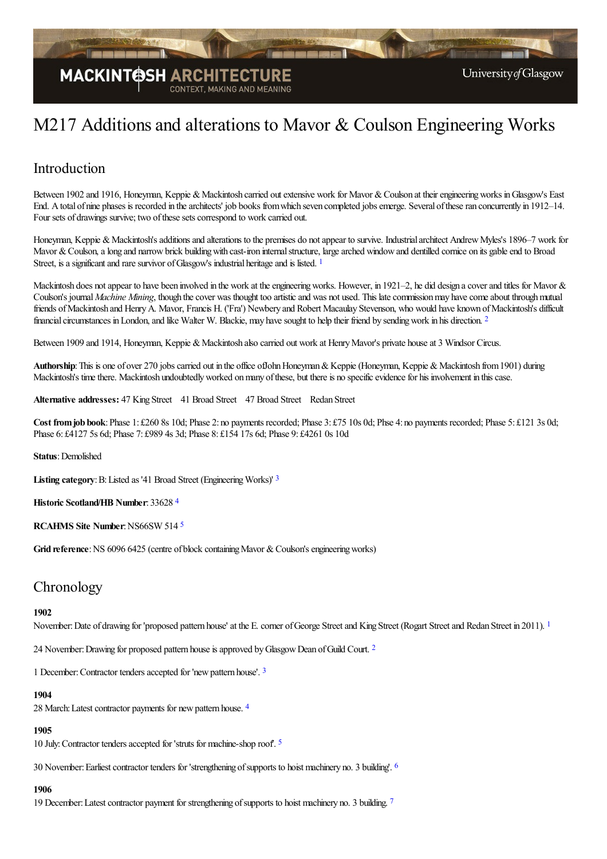

# M217 Additions and alterations to Mavor & Coulson Engineering Works

### Introduction

Between 1902 and 1916, Honeyman, Keppie & Mackintosh carried out extensive work for Mavor & Coulson at their engineering works in Glasgow's East End. A total of nine phases is recorded in the architects' job books from which seven completed jobs emerge. Several of these ran concurrently in 1912–14. Four sets of drawings survive; two of these sets correspond to work carried out.

<span id="page-0-0"></span>Honeyman, Keppie & Mackintosh's additions and alterations to the premises do not appear to survive. Industrial architect Andrew Myles's 1896–7 work for Mavor & Coulson, a long and narrow brick building with cast-iron internal structure, large arched window and dentilled cornice on its gable end to Broad Street, is a significant and rare survivor of Glasgow's industrial heritage and is listed. <sup>[1](#page-8-0)</sup>

Mackintosh does not appear to have been involved in the work at the engineering works. However, in 1921–2, he did design a cover and titles for Mavor  $\&$ Coulson's journal *Machine Mining*, though the cover was thought too artistic and was not used. This late commission may have come about through mutual friends ofMackintosh and HenryA. Mavor, Francis H. ('Fra') Newbery and Robert Macaulay Stevenson, who would have known ofMackintosh's difficult financial circumstances in London, and like Walter W. Blackie, may have sought to help their friend by sending work in his direction. <sup>[2](#page-8-1)</sup>

<span id="page-0-1"></span>Between 1909 and 1914, Honeyman, Keppie & Mackintosh also carried out work at Henry Mayor's private house at 3 Windsor Circus.

Authorship: This is one of over 270 jobs carried out in the office of John Honeyman & Keppie (Honeyman, Keppie & Mackintosh from 1901) during Mackintosh's time there. Mackintosh undoubtedly worked on many of these, but there is no specific evidence for his involvement in this case.

**Alternative addresses:** 47 King Street 41 Broad Street 47 Broad Street Redan Street

**Cost fromjob book**:Phase 1: £260 8s 10d; Phase 2: no payments recorded; Phase 3: £75 10s 0d; Phse 4: no payments recorded; Phase 5: £121 3s 0d; Phase 6: £4127 5s 6d; Phase 7: £989 4s 3d; Phase 8: £154 17s 6d; Phase 9: £4261 0s 10d

**Status**:Demolished

<span id="page-0-2"></span>**Listing category: B:** Listed as '41 Broad Street (Engineering Works)' [3](#page-9-0)

<span id="page-0-3"></span>**Historic Scotland/HB Number**: 33628 [4](#page-9-1)

<span id="page-0-4"></span>**RCAHMS** Site Number: NS66SW [5](#page-9-2)14 <sup>5</sup>

Grid reference: NS 6096 6425 (centre of block containing Mavor & Coulson's engineering works)

### **Chronology**

#### <span id="page-0-5"></span>**1902**

November: Date of drawing for 'proposed pattern house' at the E. corner of George Street and King Street (Rogart Street and Redan Street in 20[1](#page-9-3)1). <sup>1</sup>

[2](#page-9-4)4 November: Drawing for proposed pattern house is approved by Glasgow Dean of Guild Court. <sup>2</sup>

<span id="page-0-7"></span><span id="page-0-6"></span>1 December: Contractor tenders accepted for 'new pattern house'. [3](#page-9-5)

#### <span id="page-0-8"></span>**1904**

28 March: Latest contractor payments for new pattern house. [4](#page-9-6)

#### **1905**

<span id="page-0-10"></span><span id="page-0-9"></span>10 July:Contractor tendersaccepted for 'struts for machine-shop roof'. [5](#page-9-7)

30 November: Earliest contractor tenders for 'strengthening of supports to hoist machinery no. 3 building'. <sup>[6](#page-9-8)</sup>

#### **1906**

<span id="page-0-11"></span>19 December: Latest contractor payment for strengthening of supports to hoist machinery no. 3 building. [7](#page-9-9)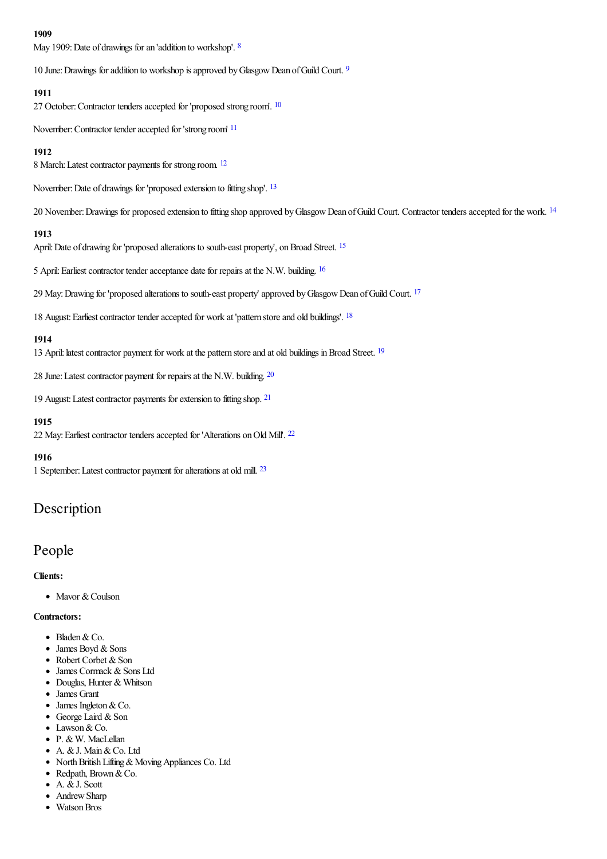#### <span id="page-1-0"></span>**1909**

May 1909: Date of drawings for an 'addition to workshop'. <sup>[8](#page-9-10)</sup>

<span id="page-1-1"></span>10 June: Drawings for addition to workshop is approved by Glasgow Dean of Guild Court. <sup>[9](#page-9-11)</sup>

#### <span id="page-1-2"></span>**1911**

27 October: Contractor tenders accepted for 'proposed strong room'. <sup>[10](#page-9-12)</sup>

<span id="page-1-3"></span>November: Contractor tender accepted for 'strong room' <sup>[11](#page-9-13)</sup>

### <span id="page-1-4"></span>**1912**

8 March: Latest contractor payments for strong room. <sup>[12](#page-9-14)</sup>

<span id="page-1-5"></span>November: Date of drawings for 'proposed extension to fitting shop'. <sup>[13](#page-9-15)</sup>

20 November: Drawings for proposed extension to fitting shop approved by Glasgow Dean of Guild Court. Contractor tenders accepted for the work. <sup>[14](#page-9-16)</sup>

#### <span id="page-1-7"></span><span id="page-1-6"></span>**1913**

April: Date of drawing for 'proposed alterations to south-east property', on Broad Street. <sup>[15](#page-9-17)</sup>

<span id="page-1-8"></span>5 April: Earliest contractor tender acceptance date for repairs at the N.W. building. <sup>[16](#page-9-18)</sup>

29 May: Drawing for 'proposed alterations to south-east property' approved by Glasgow Dean of Guild Court. <sup>[17](#page-9-19)</sup>

<span id="page-1-10"></span><span id="page-1-9"></span>[18](#page-9-20) August: Earliest contractor tender accepted for work at 'pattern store and old buildings'. <sup>18</sup>

### **1914**

<span id="page-1-12"></span><span id="page-1-11"></span>13 April: latest contractor payment for work at the pattern store and at old buildings in Broad Street. <sup>[19](#page-9-21)</sup>

28 June: Latest contractor payment for repairs at the N.W. building. [20](#page-9-22)

<span id="page-1-13"></span>19 August: Latest contractor payments for extension to fitting shop. <sup>[21](#page-9-23)</sup>

### <span id="page-1-14"></span>**1915**

[22](#page-9-24) May: Earliest contractor tenders accepted for 'Alterations on Old Mill'. <sup>22</sup>

#### **1916**

<span id="page-1-15"></span>1 September: Latest contractor payment for alterations at old mill. [23](#page-9-25)

### Description

### People

**Clients:**

• Mavor & Coulson

#### **Contractors:**

- Bladen & Co.
- $\bullet$  James Boyd & Sons
- Robert Corbet & Son
- James Cormack & Sons Ltd
- Douglas, Hunter & Whitson
- James Grant
- James Ingleton & Co.
- George Laird & Son
- Lawson & Co.
- P. & W. MacLellan
- A. &J. Main&Co. Ltd
- North British Lifting & Moving Appliances Co. Ltd
- Redpath, Brown & Co.
- A. &J. Scott
- Andrew Sharp
- Watson Bros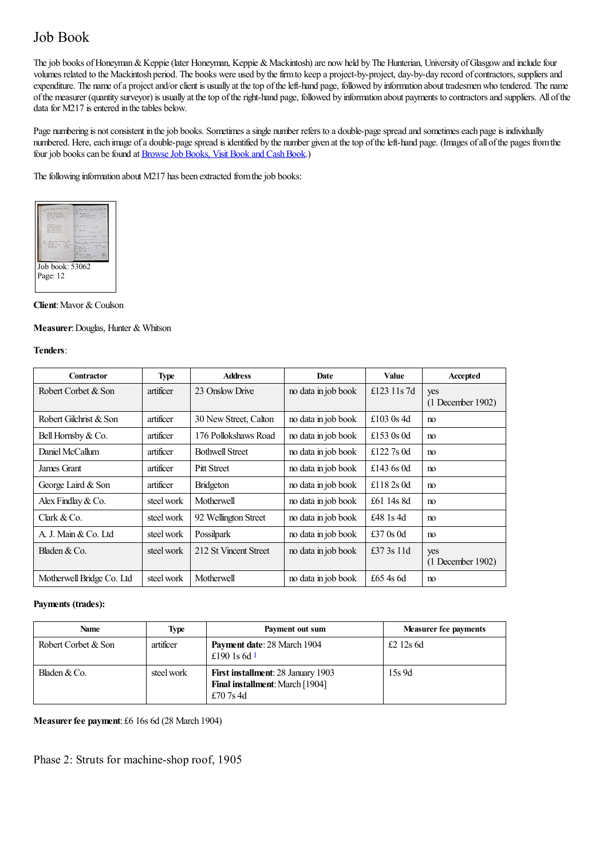# Job Book

The job books of Honeyman & Keppie (later Honeyman, Keppie & Mackintosh) are now held by The Hunterian, University of Glasgow and include four volumes related to the Mackintosh period. The books were used by the firm to keep a project-by-project, day-by-day record of contractors, suppliers and expenditure. The name ofa projectand/orclient is usually at thetop oftheleft-hand page, followed by information about tradesmenwho tendered. The name ofthe measurer (quantity surveyor) is usually at thetop oftheright-hand page, followed by information about payments to contractorsand suppliers. All ofthe data for M217 is entered in the tables below.

Page numbering is not consistent in the job books. Sometimes a single number refers to a double-page spread and sometimes each page is individually numbered. Here, each image of a double-page spread is identified by the number given at the top of the left-hand page. (Images of all of the pages from the four job books can be found at Browse Job Books, Visit Book and Cash Book.)

The following information about M217 has been extracted from the job books:



**Client:** Mavor & Coulson

### **Measurer**:Douglas, Hunter & Whitson

#### **Tenders**:

| <b>Contractor</b>         | <b>Type</b> | <b>Address</b>         | Date                | Value        | Accepted            |
|---------------------------|-------------|------------------------|---------------------|--------------|---------------------|
| Robert Corbet & Son       | artificer   | 23 Onslow Drive        | no data in job book | £123 11s 7d  | yes                 |
|                           |             |                        |                     |              | $(1$ December 1902) |
| Robert Gilchrist & Son    | artificer   | 30 New Street, Calton  | no data in job book | £103 $0s$ 4d | no                  |
| Bell Hornsby & Co.        | artificer   | 176 Pollokshaws Road   | no data in job book | £153 $0s$ 0d | no                  |
| Daniel McCallum           | artificer   | <b>Bothwell Street</b> | no data in job book | £122.7s 0d   | no                  |
| James Grant               | artificer   | <b>Pitt Street</b>     | no data in job book | £143 $6s$ 0d | no                  |
| George Laird & Son        | artificer   | <b>Bridgeton</b>       | no data in job book | £118 $2s$ 0d | no                  |
| Alex Findlay & Co.        | steel work  | Motherwell             | no data in job book | £61 14s 8d   | no                  |
| Clark & Co.               | steel work  | 92 Wellington Street   | no data in job book | £48 1s 4d    | no                  |
| A. J. Main & Co. Ltd      | steel work  | Possilpark             | no data in job book | £37 0s 0d    | no                  |
| Bladen $&Co$ .            | steel work  | 212 St Vincent Street  | no data in job book | £37 $3s$ 11d | yes                 |
|                           |             |                        |                     |              | $(1$ December 1902) |
| Motherwell Bridge Co. Ltd | steel work  | Motherwell             | no data in job book | £65 4s 6d    | no                  |

### **Payments (trades):**

<span id="page-2-0"></span>

| <b>Name</b>         | <b>Type</b> | Payment out sum                                                                                  | <b>Measurer fee payments</b> |
|---------------------|-------------|--------------------------------------------------------------------------------------------------|------------------------------|
| Robert Corbet & Son | artificer   | Payment date: 28 March 1904<br>£190 1s 6d $1$                                                    | £212s6d                      |
| Bladen & Co.        | steel work  | <b>First installment: 28 January 1903</b><br><b>Final installment:</b> March [1904]<br>£70 7s 4d | 15s 9d                       |

**Measurerfee payment**: £6 16s 6d (28 March 1904)

Phase 2: Struts for machine-shop roof, 1905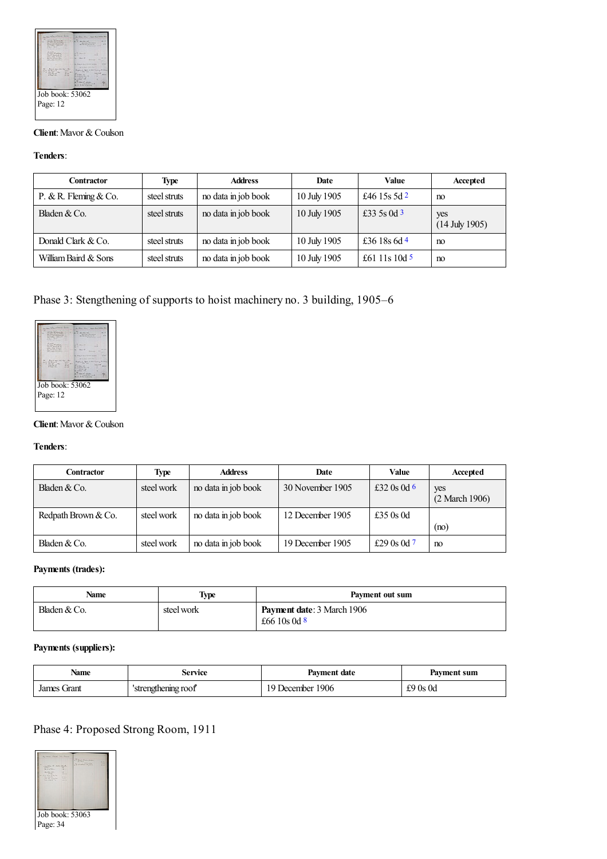

### **Client:** Mavor & Coulson

### **Tenders**:

<span id="page-3-2"></span><span id="page-3-1"></span><span id="page-3-0"></span>

| Contractor            | <b>Type</b>  | <b>Address</b>      | Date         | <b>Value</b>   | Accepted                |
|-----------------------|--------------|---------------------|--------------|----------------|-------------------------|
| P. & R. Fleming & Co. | steel struts | no data in job book | 10 July 1905 | £46 15s 5d $2$ | no                      |
| Bladen $&Co$ .        | steel struts | no data in job book | 10 July 1905 | £33 5s 0d 3    | yes<br>$(14$ July 1905) |
| Donald Clark & Co.    | steel struts | no data in job book | 10 July 1905 | £36 18s 6d 4   | no                      |
| William Baird & Sons  | steel struts | no data in job book | 10 July 1905 | £61 11s 10d 5  | no                      |

### <span id="page-3-3"></span>Phase 3: Stengthening of supports to hoist machinery no. 3 building, 1905–6



### **Client:** Mavor & Coulson

#### **Tenders**:

<span id="page-3-4"></span>

| Contractor          | <b>Type</b> | <b>Address</b>      | Date             | Value         | Accepted              |
|---------------------|-------------|---------------------|------------------|---------------|-----------------------|
| Bladen $&Co.$       | steel work  | no data in job book | 30 November 1905 | £32 0s 0d 6   | yes<br>(2 March 1906) |
| Redpath Brown & Co. | steel work  | no data in job book | 12 December 1905 | £35 $0s$ 0d   | (no)                  |
| Bladen & Co.        | steel work  | no data in job book | 19 December 1905 | £29 0s 0d $7$ | no                    |

### <span id="page-3-5"></span>**Payments (trades):**

| Name          | Type       | Payment out sum                                     |
|---------------|------------|-----------------------------------------------------|
| Bladen $&Co.$ | steel work | <b>Payment date: 3 March 1906</b><br>£66 10s 0d $8$ |

### <span id="page-3-6"></span>**Payments (suppliers):**

| Name           | Service            | Payment date     | Payment sum    |
|----------------|--------------------|------------------|----------------|
| Grant<br>James | strengthening roof | 19 December 1906 | $\pounds90s0d$ |

### Phase 4: Proposed Strong Room, 1911

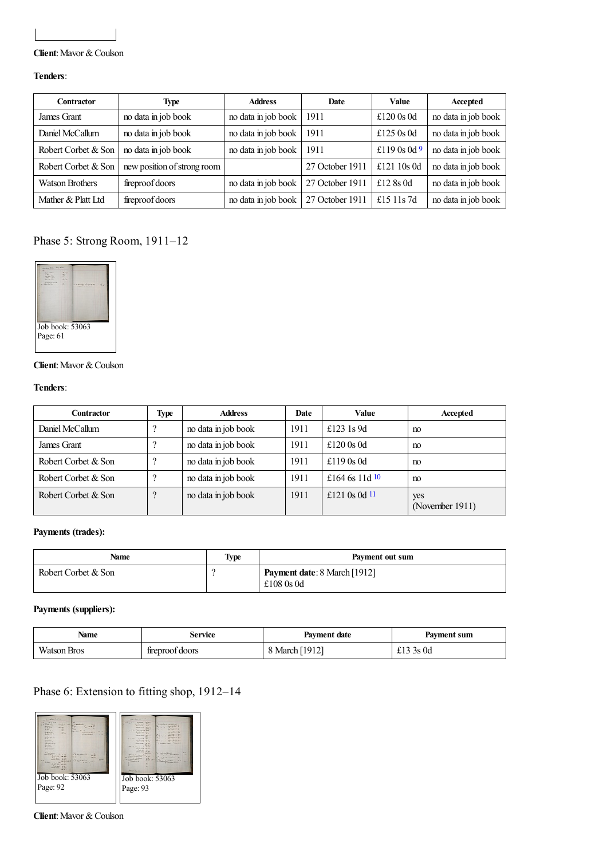### **Client**: Mavor & Coulson

### **Tenders**:

<span id="page-4-0"></span>

| Contractor             | Type                        | <b>Address</b>      | Date            | Value        | Accepted            |
|------------------------|-----------------------------|---------------------|-----------------|--------------|---------------------|
| James Grant            | no data in job book         | no data in job book | 1911            | £120 $0s$ 0d | no data in job book |
| Daniel McCallum        | no data in job book         | no data in job book | 1911            | £125 $0s$ 0d | no data in job book |
| Robert Corbet & Son    | no data in job book         | no data in job book | 1911            | £119 0s 0d 9 | no data in job book |
| Robert Corbet & Son    | new position of strong room |                     | 27 October 1911 | £121 10s 0d  | no data in job book |
| <b>Watson Brothers</b> | fireproof doors             | no data in job book | 27 October 1911 | £12 8s 0d    | no data in job book |
| Mather & Platt Ltd     | fireproof doors             | no data in job book | 27 October 1911 | £15 11s 7d   | no data in job book |

### Phase 5: Strong Room, 1911–12



### **Client:** Mavor & Coulson

### **Tenders**:

| <b>Contractor</b>   | Type     | <b>Address</b>      | Date | Value            | Accepted               |
|---------------------|----------|---------------------|------|------------------|------------------------|
| Daniel McCallum     |          | no data in job book | 1911 | £123 $1s$ 9d     | n <sub>0</sub>         |
| James Grant         |          | no data in job book | 1911 | £120 $0s$ 0d     | m                      |
| Robert Corbet & Son |          | no data in job book | 1911 | £119 $0s$ 0d     | n <sub>0</sub>         |
| Robert Corbet & Son | റ        | no data in job book | 1911 | £164 6s 11d $10$ | no                     |
| Robert Corbet & Son | $\Omega$ | no data in job book | 1911 | £121 0s 0d $11$  | yes<br>(November 1911) |

### <span id="page-4-2"></span><span id="page-4-1"></span>**Payments (trades):**

| Name                | <b>Type</b> | Payment out sum                                     |
|---------------------|-------------|-----------------------------------------------------|
| Robert Corbet & Son |             | <b>Payment date:</b> 8 March [1912]<br>£108 $0s$ 0d |

### **Payments (suppliers):**

| <b>Name</b>            | Service         | Payment date | Payment sum |
|------------------------|-----------------|--------------|-------------|
| Watson,<br><b>Bros</b> | fireproof doors | March [1912] | 3s0d        |

### Phase 6: Extension to fitting shop, 1912–14



**Client:** Mavor & Coulson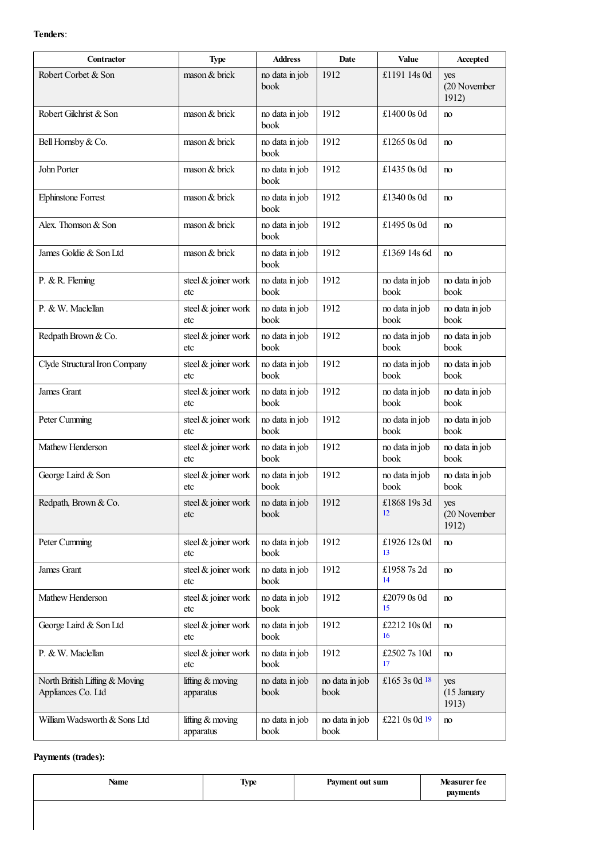### **Tenders**:

| Contractor                                           | <b>Type</b>                     | <b>Address</b>         | Date                   | Value                  | Accepted                     |
|------------------------------------------------------|---------------------------------|------------------------|------------------------|------------------------|------------------------------|
| Robert Corbet & Son                                  | mason & brick                   | no data in job<br>book | 1912                   | £1191 14s 0d           | yes<br>(20 November<br>1912) |
| Robert Gilchrist & Son                               | mason & brick                   | no data in job<br>book | 1912                   | £1400 $0s$ 0d          | no                           |
| Bell Hornsby & Co.                                   | mason & brick                   | no data in job<br>book | 1912                   | £1265 0s 0d            | no                           |
| John Porter                                          | mason & brick                   | no data in job<br>book | 1912                   | £1435 $0s$ 0d          | no                           |
| <b>Elphinstone Forrest</b>                           | mason & brick                   | no data in job<br>book | 1912                   | £1340 0s 0d            | no                           |
| Alex. Thomson & Son                                  | mason & brick                   | no data in job<br>book | 1912                   | £1495 0s 0d            | no                           |
| James Goldie & Son Ltd                               | mason & brick                   | no data in job<br>book | 1912                   | £1369 14s 6d           | no                           |
| P. & R. Fleming                                      | steel & joiner work<br>etc      | no data in job<br>book | 1912                   | no data in job<br>book | no data in job<br>book       |
| P. & W. Maclellan                                    | steel & joiner work<br>etc      | no data in job<br>book | 1912                   | no data in job<br>book | no data in job<br>book       |
| Redpath Brown & Co.                                  | steel & joiner work<br>etc      | no data in job<br>book | 1912                   | no data in job<br>book | no data in job<br>book       |
| Clyde Structural Iron Company                        | steel & joiner work<br>etc      | no data in job<br>book | 1912                   | no data in job<br>book | no data in job<br>book       |
| James Grant                                          | steel & joiner work<br>etc      | no data in job<br>book | 1912                   | no data in job<br>book | no data in job<br>book       |
| Peter Cumming                                        | steel & joiner work<br>etc      | no data in job<br>book | 1912                   | no data in job<br>book | no data in job<br>book       |
| Mathew Henderson                                     | steel & joiner work<br>etc      | no data in job<br>book | 1912                   | no data in job<br>book | no data in job<br>book       |
| George Laird & Son                                   | steel & joiner work<br>etc      | no data in job<br>book | 1912                   | no data in job<br>book | no data in job<br>book       |
| Redpath, Brown & Co.                                 | steel & joiner work<br>etc      | no data in job<br>book | 1912                   | £1868 19s 3d<br>12     | yes<br>(20 November<br>1912) |
| Peter Cumming                                        | steel & joiner work<br>etc      | no data in job<br>book | 1912                   | £1926 12s 0d<br>13     | no                           |
| James Grant                                          | steel & joiner work<br>etc      | no data in job<br>book | 1912                   | £1958 7s 2d<br>14      | no                           |
| Mathew Henderson                                     | steel & joiner work<br>etc      | no data in job<br>book | 1912                   | £2079 0s 0d<br>15      | no                           |
| George Laird & Son Ltd                               | steel & joiner work<br>etc      | no data in job<br>book | 1912                   | £2212 10s 0d<br>16     | no                           |
| P. & W. Maclellan                                    | steel & joiner work<br>etc      | no data in job<br>book | 1912                   | £25027s 10d<br>17      | no                           |
| North British Lifting & Moving<br>Appliances Co. Ltd | lifting & moving<br>apparatus   | no data in job<br>book | no data in job<br>book | £165 3s 0d $18$        | yes<br>(15 January<br>1913)  |
| William Wadsworth & Sons Ltd                         | lifting $&$ moving<br>apparatus | no data in job<br>book | no data in job<br>book | £221 0s 0d 19          | no                           |

### <span id="page-5-7"></span><span id="page-5-6"></span><span id="page-5-5"></span><span id="page-5-4"></span><span id="page-5-3"></span><span id="page-5-2"></span><span id="page-5-1"></span><span id="page-5-0"></span>**Payments (trades):**

| <b>Name</b> | Type | Payment out sum | Measurer fee<br>payments |
|-------------|------|-----------------|--------------------------|
|             |      |                 |                          |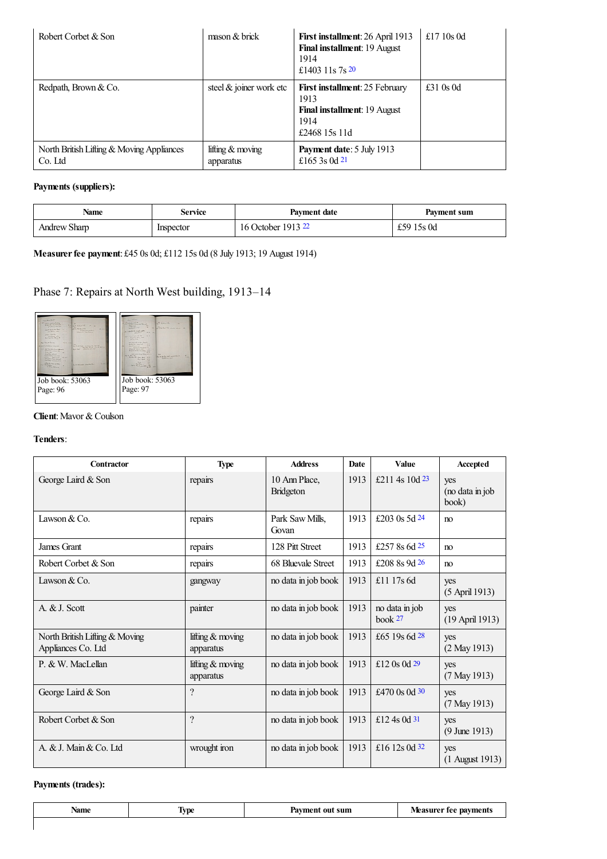<span id="page-6-0"></span>

| Robert Corbet & Son                                  | $\frac{1}{2}$ mason & brick     | First installment: 26 April 1913<br>Final installment: 19 August<br>1914<br>£1403 11s $7s^{20}$               | £17 $10s$ 0d |
|------------------------------------------------------|---------------------------------|---------------------------------------------------------------------------------------------------------------|--------------|
| Redpath, Brown & Co.                                 | steel $&$ joiner work etc       | <b>First installment:</b> 25 February<br>1913<br><b>Final installment: 19 August</b><br>1914<br>£2468 15s 11d | £31 $0s$ 0d  |
| North British Lifting & Moving Appliances<br>Co. Ltd | lifting $&$ moving<br>apparatus | Payment date: 5 July 1913<br>£165 3s 0d 21                                                                    |              |

### <span id="page-6-1"></span>**Payments (suppliers):**

<span id="page-6-2"></span>

| <b>Name</b>         | Service   | <b>Payment date</b> | Payment sum |
|---------------------|-----------|---------------------|-------------|
| <b>Andrew Sharp</b> | Inspector | 16 October 1913 22  | £59 15s 0d  |

**Measurerfee payment**: £45 0s 0d; £112 15s 0d (8 July 1913; 19 August 1914)

## Phase 7: Repairs at North West building, 1913–14



### **Client:** Mavor & Coulson

#### **Tenders**:

<span id="page-6-7"></span><span id="page-6-6"></span><span id="page-6-5"></span><span id="page-6-4"></span><span id="page-6-3"></span>

| Contractor                                           | <b>Type</b>                     | <b>Address</b>                    | Date | Value                                | Accepted                        |
|------------------------------------------------------|---------------------------------|-----------------------------------|------|--------------------------------------|---------------------------------|
| George Laird & Son                                   | repairs                         | 10 Ann Place,<br><b>Bridgeton</b> | 1913 | £211 4s 10d $^{23}$                  | yes<br>(no data in job<br>book) |
| Lawson $& Co.$                                       | repairs                         | Park Saw Mills,<br>Govan          | 1913 | £203 0s $5d$ $24$                    | no                              |
| James Grant                                          | repairs                         | 128 Pitt Street                   | 1913 | £257 8s 6d $25$                      | no                              |
| Robert Corbet & Son                                  | repairs                         | 68 Bluevale Street                | 1913 | £208 8s 9d 26                        | no                              |
| Lawson & Co.                                         | gangway                         | no data in job book               | 1913 | £11 17s $6d$                         | yes<br>(5 April 1913)           |
| A. & J. Scott                                        | painter                         | no data in job book               | 1913 | no data in job<br>book <sup>27</sup> | yes<br>(19 April 1913)          |
| North British Lifting & Moving<br>Appliances Co. Ltd | lifting $&$ moving<br>apparatus | no data in job book               | 1913 | £65 19s 6d 28                        | yes<br>$(2$ May 1913)           |
| P. & W. MacLellan                                    | lifting $&$ moving<br>apparatus | no data in job book               | 1913 | £12 0s 0d $29$                       | yes<br>$(7$ May 1913)           |
| George Laird & Son                                   | $\overline{\cdot}$              | no data in job book               | 1913 | £470 0s 0d 30                        | yes<br>$(7$ May 1913)           |
| Robert Corbet & Son                                  | $\overline{?}$                  | no data in job book               | 1913 | £12 4s 0d 31                         | yes<br>$(9 \text{ June } 1913)$ |
| A. & J. Main & Co. Ltd.                              | wrought iron                    | no data in job book               | 1913 | £16 12s 0d $32$                      | yes<br>$(1$ August 1913)        |

### <span id="page-6-10"></span><span id="page-6-9"></span><span id="page-6-8"></span>**Payments (trades):**

<span id="page-6-12"></span><span id="page-6-11"></span>

| Name | -<br>tvpe | $\alpha$ where $\alpha$<br>sun<br>. | na<br>vments<br>tee<br>__ |
|------|-----------|-------------------------------------|---------------------------|
|      |           |                                     |                           |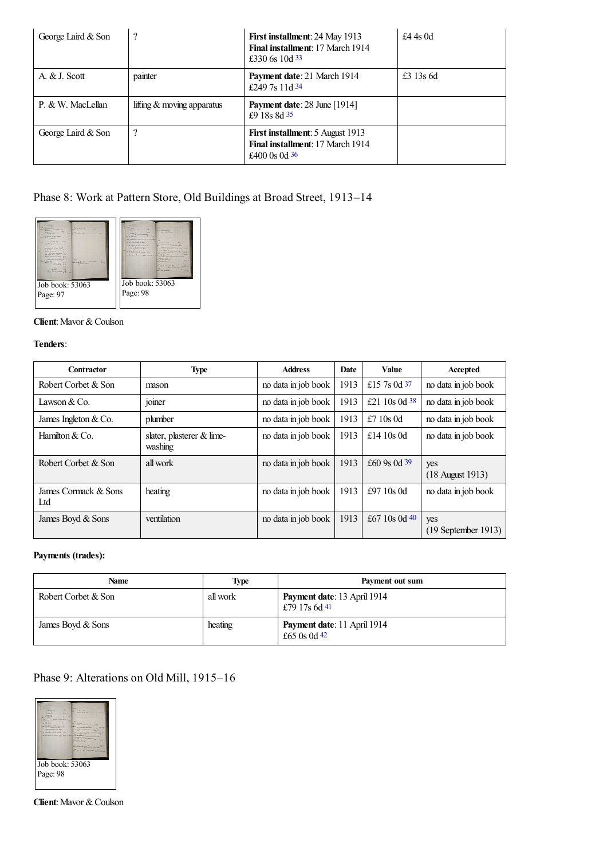<span id="page-7-2"></span><span id="page-7-1"></span><span id="page-7-0"></span>

| George Laird & Son | ?                            | First installment: 24 May 1913<br>Final installment: 17 March 1914<br>£330 6s 10d $33$  | £4 4s $0d$  |
|--------------------|------------------------------|-----------------------------------------------------------------------------------------|-------------|
| A. & J. Scott      | painter                      | <b>Payment date: 21 March 1914</b><br>£249.7s 11d $34$                                  | £3 $13s$ 6d |
| P. & W. MacLellan  | lifting $&$ moving apparatus | <b>Payment date: 28 June [1914]</b><br>£9 18s 8d 35                                     |             |
| George Laird & Son | ?                            | First installment: 5 August 1913<br>Final installment: 17 March 1914<br>£400 0s 0d $36$ |             |

### <span id="page-7-3"></span>Phase 8: Work at Pattern Store, Old Buildings at Broad Street, 1913–14



### **Client:** Mavor & Coulson

### **Tenders**:

<span id="page-7-5"></span><span id="page-7-4"></span>

| <b>Contractor</b>           | <b>Type</b>                            | <b>Address</b>      | <b>Date</b> | Value           | Accepted                     |
|-----------------------------|----------------------------------------|---------------------|-------------|-----------------|------------------------------|
| Robert Corbet & Son         | mason                                  | no data in job book | 1913        | £15 7s 0d 37    | no data in job book          |
| Lawson $& Co.$              | joiner                                 | no data in job book | 1913        | £21 10s 0d $38$ | no data in job book          |
| James Ingleton $& Co.$      | plumber                                | no data in job book | 1913        | £7 10s $0d$     | no data in job book          |
| Hamilton $& Co.$            | slater, plasterer $&$ lime-<br>washing | no data in job book | 1913        | £14 $10s$ 0d    | no data in job book          |
| Robert Corbet & Son         | all work                               | no data in job book | 1913        | £60 9s 0d $39$  | yes<br>$(18$ August 1913)    |
| James Cormack & Sons<br>Ltd | heating                                | no data in job book | 1913        | £97 10s 0d      | no data in job book          |
| James Boyd & Sons           | ventilation                            | no data in job book | 1913        | £67 10s 0d $40$ | yes<br>$(19$ September 1913) |

### <span id="page-7-7"></span><span id="page-7-6"></span>**Payments (trades):**

<span id="page-7-8"></span>

| Name                | <b>Type</b> | Payment out sum                                     |
|---------------------|-------------|-----------------------------------------------------|
| Robert Corbet & Son | all work    | <b>Payment date:</b> 13 April 1914<br>£79 17s 6d 41 |
| James Boyd & Sons   | heating     | Payment date: 11 April 1914<br>£65 0s 0d $42$       |

### <span id="page-7-9"></span>Phase 9: Alterations on Old Mill, 1915–16



**Client:** Mavor & Coulson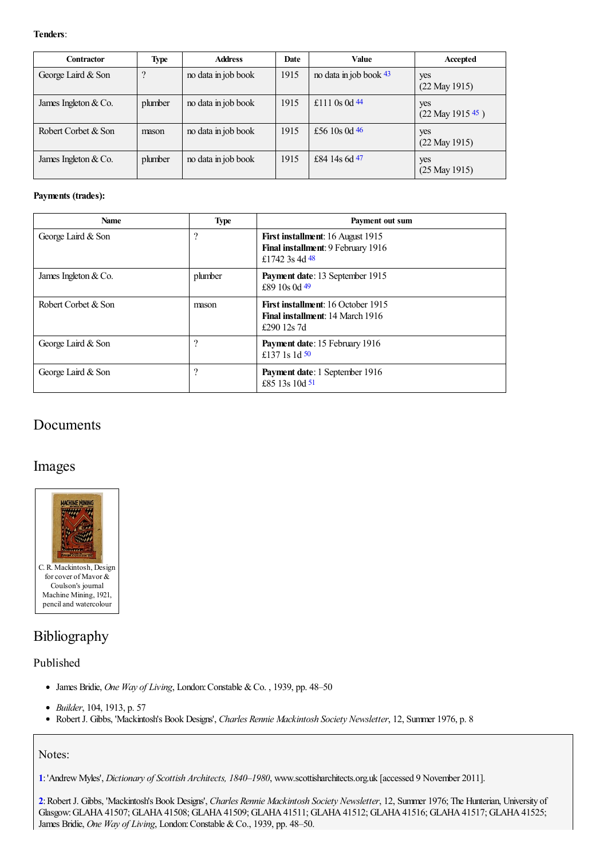### **Tenders**:

<span id="page-8-4"></span><span id="page-8-3"></span><span id="page-8-2"></span>

| <b>Contractor</b>      | Type    | <b>Address</b>      | Date | Value                  | Accepted                     |
|------------------------|---------|---------------------|------|------------------------|------------------------------|
| George Laird & Son     | ?       | no data in job book | 1915 | no data in job book 43 | yes<br>$(22$ May 1915)       |
| James Ingleton & Co.   | plumber | no data in job book | 1915 | £111 0s 0d $44$        | yes<br>$(22$ May 1915 $45$ ) |
| Robert Corbet & Son    | mason   | no data in job book | 1915 | £56 10s 0d $46$        | yes<br>$(22$ May 1915)       |
| James Ingleton $& Co.$ | plumber | no data in job book | 1915 | £84 14s 6d 47          | yes<br>$(25$ May 1915)       |

### <span id="page-8-6"></span><span id="page-8-5"></span>**Payments (trades):**

<span id="page-8-8"></span><span id="page-8-7"></span>

| Name                   | <b>Type</b> | Payment out sum                                                                                     |
|------------------------|-------------|-----------------------------------------------------------------------------------------------------|
| George Laird & Son     | ?           | <b>First installment:</b> 16 August 1915<br>Final installment: 9 February 1916<br>£1742 3s 4d 48    |
| James Ingleton $& Co.$ | plumber     | <b>Payment date:</b> 13 September 1915<br>£89 $10s$ 0d $49$                                         |
| Robert Corbet & Son    | mason       | <b>First installment:</b> 16 October 1915<br><b>Final installment: 14 March 1916</b><br>£290 12s 7d |
| George Laird & Son     | 9           | Payment date: 15 February 1916<br>£137 1s 1d $50$                                                   |
| George Laird & Son     | ?           | Payment date: 1 September 1916<br>£85 13s 10d $51$                                                  |

### <span id="page-8-10"></span><span id="page-8-9"></span>Documents

### Images



### Bibliography

### Published

- James Bridie, *One Way of Living*, London:Constable &Co. , 1939, pp. 48–50
- *Builder*, 104, 1913, p. 57
- RobertJ. Gibbs, 'Mackintosh's Book Designs', *Charles Rennie Mackintosh Society Newsletter*, 12, Summer 1976, p. 8

### Notes:

<span id="page-8-0"></span>**[1](#page-0-0)**:'AndrewMyles', *Dictionary of Scottish Architects, 1840–1980*, www.scottisharchitects.org.uk [accessed 9 November 2011].

<span id="page-8-1"></span>**[2](#page-0-1)**:RobertJ. Gibbs, 'Mackintosh's Book Designs', *Charles Rennie Mackintosh Society Newsletter*, 12, Summer 1976; The Hunterian, University of Glasgow: GLAHA 41507; GLAHA 41508; GLAHA 41509; GLAHA 41511; GLAHA 41512; GLAHA 41516; GLAHA 41517; GLAHA 41525; James Bridie, *One Way of Living*, London: Constable & Co., 1939, pp. 48–50.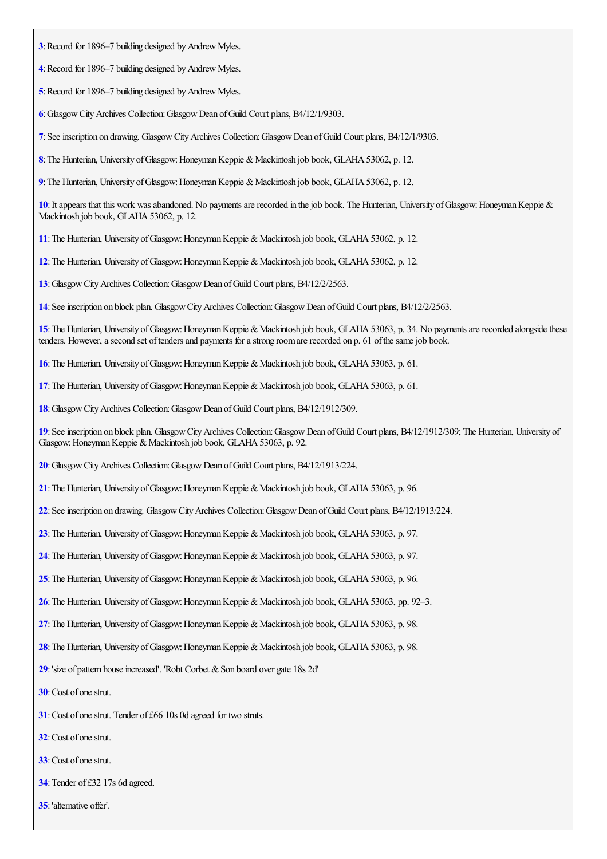- <span id="page-9-0"></span>: Record for 1896–7 building designed by Andrew Myles.
- <span id="page-9-1"></span>: Record for 1896–7 building designed by Andrew Myles.
- <span id="page-9-2"></span>: Record for 1896–7 building designed by Andrew Myles.
- <span id="page-9-3"></span>:GlasgowCityArchives Collection:GlasgowDean ofGuild Court plans, B4/12/1/9303.
- <span id="page-9-4"></span>:Seeinscription on drawing. GlasgowCityArchives Collection:GlasgowDean ofGuild Court plans, B4/12/1/9303.
- <span id="page-9-5"></span>: The Hunterian, University of Glasgow: Honeyman Keppie & Mackintosh job book, GLAHA 53062, p. 12.
- <span id="page-9-6"></span>: The Hunterian, University of Glasgow: Honeyman Keppie & Mackintosh job book, GLAHA 53062, p. 12.

<span id="page-9-7"></span>: It appears that this work was abandoned. No payments are recorded in the job book. The Hunterian, University of Glasgow: Honeyman Keppie & Mackintosh job book, GLAHA 53062, p. 12.

- <span id="page-9-8"></span>: The Hunterian, University of Glasgow: Honeyman Keppie & Mackintosh job book, GLAHA 53062, p. 12.
- <span id="page-9-9"></span>: The Hunterian, University of Glasgow: Honeyman Keppie & Mackintosh job book, GLAHA 53062, p. 12.
- <span id="page-9-10"></span>:GlasgowCityArchives Collection:GlasgowDean ofGuild Court plans, B4/12/2/2563.
- <span id="page-9-11"></span>:Seeinscription on block plan. GlasgowCityArchives Collection:GlasgowDean ofGuild Court plans, B4/12/2/2563.

<span id="page-9-12"></span>: The Hunterian, University of Glasgow: Honeyman Keppie & Mackintosh job book, GLAHA 53063, p. 34. No payments are recorded alongside these tenders. However, a second set of tenders and payments for a strong room are recorded on p. 61 of the same job book.

- <span id="page-9-13"></span>: The Hunterian, University of Glasgow: Honeyman Keppie & Mackintosh job book, GLAHA 53063, p. 61.
- <span id="page-9-14"></span>: The Hunterian, University of Glasgow: Honeyman Keppie & Mackintosh job book, GLAHA 53063, p. 61.
- <span id="page-9-15"></span>:GlasgowCityArchives Collection:GlasgowDean ofGuild Court plans, B4/12/1912/309.

<span id="page-9-16"></span>: See inscription on block plan. Glasgow City Archives Collection: Glasgow Dean of Guild Court plans, B4/12/1912/309; The Hunterian, University of Glasgow: Honeyman Keppie & Mackintosh job book, GLAHA 53063, p. 92.

- <span id="page-9-17"></span>:GlasgowCityArchives Collection:GlasgowDean ofGuild Court plans, B4/12/1913/224.
- <span id="page-9-18"></span>: The Hunterian, University of Glasgow: Honeyman Keppie & Mackintosh job book, GLAHA 53063, p. 96.
- <span id="page-9-19"></span>:Seeinscription on drawing. GlasgowCityArchives Collection:GlasgowDean ofGuild Court plans, B4/12/1913/224.
- <span id="page-9-20"></span>: The Hunterian, University of Glasgow: Honeyman Keppie & Mackintosh job book, GLAHA 53063, p. 97.
- <span id="page-9-21"></span>: The Hunterian, University of Glasgow: Honeyman Keppie & Mackintosh job book, GLAHA 53063, p. 97.
- <span id="page-9-22"></span>: The Hunterian, University of Glasgow: Honeyman Keppie & Mackintosh job book, GLAHA 53063, p. 96.
- <span id="page-9-23"></span>: The Hunterian, University of Glasgow: Honeyman Keppie & Mackintosh job book, GLAHA 53063, pp. 92–3.
- <span id="page-9-24"></span>: The Hunterian, University of Glasgow: Honeyman Keppie & Mackintosh job book, GLAHA 53063, p. 98.
- <span id="page-9-25"></span>: The Hunterian, University of Glasgow: Honeyman Keppie & Mackintosh job book, GLAHA 53063, p. 98.
- <span id="page-9-26"></span>: 'size of pattern house increased'. 'Robt Corbet & Son board over gate 18s 2d'
- <span id="page-9-27"></span>: Cost of one strut.
- <span id="page-9-28"></span>: Cost of one strut. Tender of £66 10s 0d agreed for two struts.
- <span id="page-9-29"></span>:Cost of onestrut.
- <span id="page-9-30"></span>:Cost of onestrut.
- <span id="page-9-31"></span>: Tender of £32 17s 6d agreed.
- <span id="page-9-32"></span>:'alternative offer'.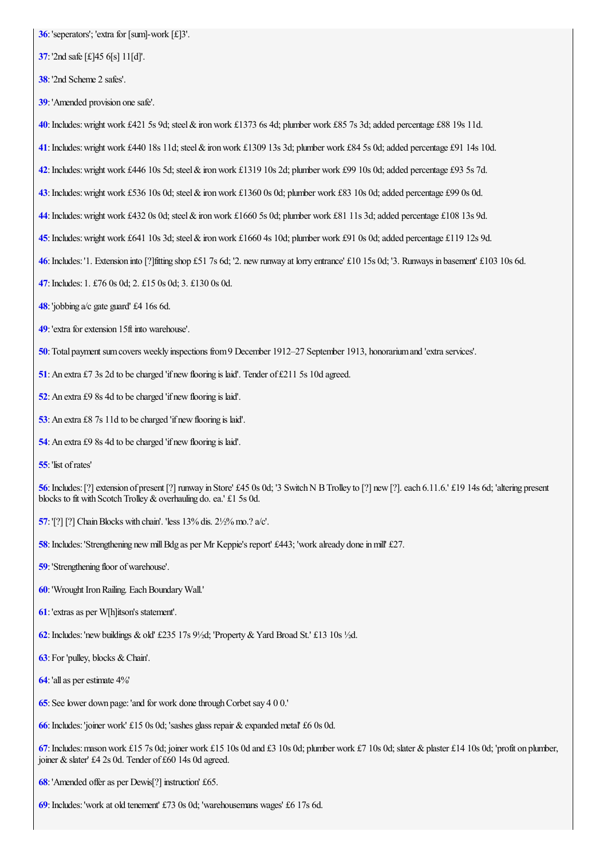- <span id="page-10-0"></span>: 'seperators'; 'extra for [sum]-work [£]3'.
- <span id="page-10-1"></span>:'2nd safe[£]45 6[s] 11[d]'.
- <span id="page-10-2"></span>:'2nd Scheme 2 safes'.
- <span id="page-10-3"></span>:'Amended provision onesafe'.
- <span id="page-10-4"></span>: Includes: wright work £421 5s 9d; steel & iron work £1373 6s 4d; plumber work £85 7s 3d; added percentage £88 19s 11d.
- <span id="page-10-5"></span>: Includes: wright work £440 18s 11d; steel & iron work £1309 13s 3d; plumber work £84 5s 0d; added percentage £91 14s 10d.
- <span id="page-10-6"></span>: Includes: wright work £446 10s 5d; steel & iron work £1319 10s 2d; plumber work £99 10s 0d; added percentage £93 5s 7d.
- <span id="page-10-7"></span>: Includes: wright work £536 10s 0d; steel & iron work £1360 0s 0d; plumber work £83 10s 0d; added percentage £99 0s 0d.
- <span id="page-10-8"></span>:Includes:wright work £432 0s 0d;steel&ironwork £1660 5s 0d; plumber work £81 11s 3d;added percentage £108 13s 9d.
- <span id="page-10-9"></span>: Includes: wright work £641 10s 3d; steel & iron work £1660 4s 10d; plumber work £91 0s 0d; added percentage £119 12s 9d.
- <span id="page-10-10"></span>:Includes:'1. Extension into [?]fitting shop £51 7s 6d; '2. newrunway at lorry entrance' £10 15s 0d; '3. Runways in basement' £103 10s 6d.
- <span id="page-10-11"></span>:Includes: 1. £76 0s 0d; 2. £15 0s 0d; 3. £130 0s 0d.
- <span id="page-10-12"></span>:'jobbing a/c gate guard' £4 16s 6d.
- <span id="page-10-13"></span>: 'extra for extension 15ft into warehouse'.
- <span id="page-10-14"></span>: Total payment sum covers weekly inspections from 9 December 1912–27 September 1913, honorarium and 'extra services'.
- <span id="page-10-15"></span>: An extra £7 3s 2d to be charged 'if new flooring is laid'. Tender of £211 5s 10d agreed.
- <span id="page-10-16"></span>: An extra £9 8s 4d to be charged 'if new flooring is laid'.
- <span id="page-10-17"></span>: An extra £8 7s 11d to be charged 'if new flooring is laid'.
- <span id="page-10-18"></span>: An extra £9 8s 4d to be charged 'if new flooring is laid'.
- <span id="page-10-19"></span>:'list ofrates'

<span id="page-10-20"></span>: Includes: [?] extension of present [?] runway in Store' £45 0s 0d; '3 Switch N B Trolley to [?] new [?]. each 6.11.6.' £19 14s 6d; 'altering present blocks to fit with Scotch Trolley & overhauling do. ea.' £1 5s 0d.

- <span id="page-10-21"></span>: '[?] [?] Chain Blocks with chain'. 'less 13% dis. 2½% mo.? a/c'.
- <span id="page-10-22"></span>: Includes: 'Strengthening new mill Bdg as per Mr Keppie's report' £443; 'work already done in mill' £27.
- <span id="page-10-23"></span>: 'Strengthening floor of warehouse'.
- <span id="page-10-24"></span>: 'Wrought Iron Railing. Each Boundary Wall.'
- <span id="page-10-25"></span>:'extrasas per W[h]itson's statement'.
- <span id="page-10-26"></span>**[62](#page-7-1)**: Includes: 'new buildings & old' £235 17s  $9\frac{1}{2}$ d; 'Property & Yard Broad St.' £13 10s  $\frac{1}{2}$ d.
- <span id="page-10-27"></span>: For 'pulley, blocks & Chain'.
- <span id="page-10-28"></span>: 'all as per estimate 4%'
- <span id="page-10-29"></span>: See lower down page: 'and for work done through Corbet say 4 0 0.'
- <span id="page-10-30"></span>: Includes: 'joiner work' £15 0s 0d; 'sashes glass repair & expanded metal' £6 0s 0d.

<span id="page-10-31"></span>: Includes: mason work £15 7s 0d; joiner work £15 10s 0d and £3 10s 0d; plumber work £7 10s 0d; slater & plaster £14 10s 0d; 'profit on plumber, joiner & slater' £4 2s 0d. Tender of £60 14s 0d agreed.

<span id="page-10-32"></span>:'Amended offeras per Dewis[?] instruction' £65.

<span id="page-10-33"></span>:Includes:'work at old tenement' £73 0s 0d; 'warehousemans wages' £6 17s 6d.